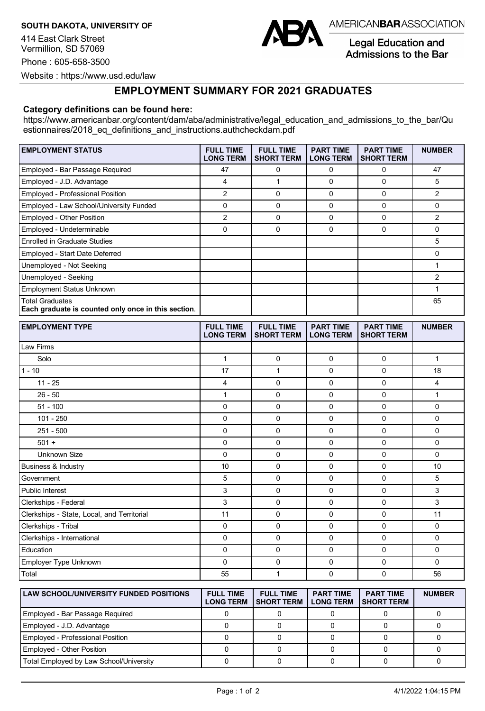**SOUTH DAKOTA, UNIVERSITY OF**

414 East Clark Street Vermillion, SD 57069 Phone : 605-658-3500 Website : [https://www.usd.edu/law](http://www.usd.edu/law)



**Legal Education and** Admissions to the Bar

## **EMPLOYMENT SUMMARY FOR 2021 GRADUATES**

## **Category definitions can be found here:**

[https://www.americanbar.org/content/dam/aba/administrative/legal\\_education\\_and\\_admissions\\_to\\_the\\_bar/Qu](http://www.americanbar.org/content/dam/aba/administrative/legal_education_and_admissions_to_the_bar/Qu) estionnaires/2018 eq definitions and instructions.authcheckdam.pdf

| <b>EMPLOYMENT STATUS</b>                                                      | <b>FULL TIME</b><br><b>LONG TERM</b> | <b>FULL TIME</b><br><b>SHORT TERM</b> | <b>PART TIME</b><br><b>LONG TERM</b> | <b>PART TIME</b><br><b>SHORT TERM</b> | <b>NUMBER</b> |
|-------------------------------------------------------------------------------|--------------------------------------|---------------------------------------|--------------------------------------|---------------------------------------|---------------|
| Employed - Bar Passage Required                                               | 47                                   | 0                                     | $\Omega$                             | 0                                     | 47            |
| Employed - J.D. Advantage                                                     | 4                                    |                                       | $\Omega$                             | 0                                     | 5             |
| Employed - Professional Position                                              | 2                                    | 0                                     | 0                                    | 0                                     | 2             |
| Employed - Law School/University Funded                                       | $\Omega$                             | 0                                     | $\Omega$                             | 0                                     | 0             |
| <b>Employed - Other Position</b>                                              | 2                                    | 0                                     | 0                                    | 0                                     | 2             |
| Employed - Undeterminable                                                     | 0                                    | 0                                     | 0                                    | 0                                     | 0             |
| <b>Enrolled in Graduate Studies</b>                                           |                                      |                                       |                                      |                                       | 5             |
| Employed - Start Date Deferred                                                |                                      |                                       |                                      |                                       | 0             |
| Unemployed - Not Seeking                                                      |                                      |                                       |                                      |                                       |               |
| Unemployed - Seeking                                                          |                                      |                                       |                                      |                                       |               |
| <b>Employment Status Unknown</b>                                              |                                      |                                       |                                      |                                       |               |
| <b>Total Graduates</b><br>Each graduate is counted only once in this section. |                                      |                                       |                                      |                                       | 65            |

| <b>EMPLOYMENT TYPE</b>                        | <b>FULL TIME</b><br><b>LONG TERM</b> | <b>FULL TIME</b><br><b>SHORT TERM</b> | <b>PART TIME</b><br><b>LONG TERM</b> | <b>PART TIME</b><br><b>SHORT TERM</b> | <b>NUMBER</b> |
|-----------------------------------------------|--------------------------------------|---------------------------------------|--------------------------------------|---------------------------------------|---------------|
| Law Firms                                     |                                      |                                       |                                      |                                       |               |
| Solo                                          | $\mathbf{1}$                         | 0                                     | $\mathbf 0$                          | 0                                     | $\mathbf{1}$  |
| $1 - 10$                                      | 17                                   | $\mathbf{1}$                          | $\mathbf 0$                          | 0                                     | 18            |
| $11 - 25$                                     | 4                                    | 0                                     | $\pmb{0}$                            | 0                                     | 4             |
| $26 - 50$                                     | $\mathbf{1}$                         | 0                                     | $\mathbf 0$                          | 0                                     | $\mathbf{1}$  |
| $51 - 100$                                    | 0                                    | 0                                     | $\mathbf 0$                          | 0                                     | $\mathbf 0$   |
| $101 - 250$                                   | $\mathbf 0$                          | 0                                     | $\mathbf 0$                          | 0                                     | $\mathbf 0$   |
| $251 - 500$                                   | $\mathbf 0$                          | 0                                     | $\mathbf 0$                          | 0                                     | $\mathbf 0$   |
| $501 +$                                       | $\mathbf 0$                          | 0                                     | $\pmb{0}$                            | 0                                     | 0             |
| <b>Unknown Size</b>                           | 0                                    | 0                                     | $\mathbf 0$                          | 0                                     | $\Omega$      |
| Business & Industry                           | 10                                   | 0                                     | $\mathbf 0$                          | 0                                     | 10            |
| Government                                    | 5                                    | 0                                     | $\pmb{0}$                            | 0                                     | 5             |
| <b>Public Interest</b>                        | 3                                    | 0                                     | $\mathbf 0$                          | 0                                     | 3             |
| Clerkships - Federal                          | 3                                    | 0                                     | $\mathbf 0$                          | 0                                     | 3             |
| Clerkships - State, Local, and Territorial    | 11                                   | 0                                     | $\mathbf 0$                          | 0                                     | 11            |
| Clerkships - Tribal                           | $\mathbf 0$                          | 0                                     | $\mathbf 0$                          | 0                                     | $\mathbf 0$   |
| Clerkships - International                    | $\mathbf 0$                          | 0                                     | $\mathbf 0$                          | 0                                     | $\mathbf 0$   |
| Education                                     | $\mathbf 0$                          | 0                                     | $\mathbf 0$                          | 0                                     | $\mathbf 0$   |
| <b>Employer Type Unknown</b>                  | $\mathbf 0$                          | 0                                     | $\mathbf 0$                          | 0                                     | $\mathbf 0$   |
| Total                                         | 55                                   | $\mathbf{1}$                          | $\Omega$                             | $\overline{0}$                        | 56            |
| <b>LAW SCHOOL/UNIVERSITY FUNDED POSITIONS</b> | <b>FULL TIME</b><br><b>LONG TERM</b> | <b>FULL TIME</b><br><b>SHORT TERM</b> | <b>PART TIME</b><br><b>LONG TERM</b> | <b>PART TIME</b><br><b>SHORT TERM</b> | <b>NUMBER</b> |
| Employed - Bar Passage Required               | $\mathbf 0$                          | 0                                     | $\mathbf 0$                          | 0                                     | $\mathbf 0$   |
| Employed - J.D. Advantage                     | $\mathbf 0$                          | 0                                     | $\mathbf 0$                          | 0                                     | $\mathbf 0$   |
| Employed - Professional Position              | $\mathbf 0$                          | 0                                     | $\mathbf 0$                          | 0                                     | $\mathbf 0$   |
| Employed - Other Position                     | 0                                    | 0                                     | $\pmb{0}$                            | 0                                     | 0             |
| Total Employed by Law School/University       | $\Omega$                             | 0                                     | $\mathbf 0$                          | 0                                     | $\Omega$      |